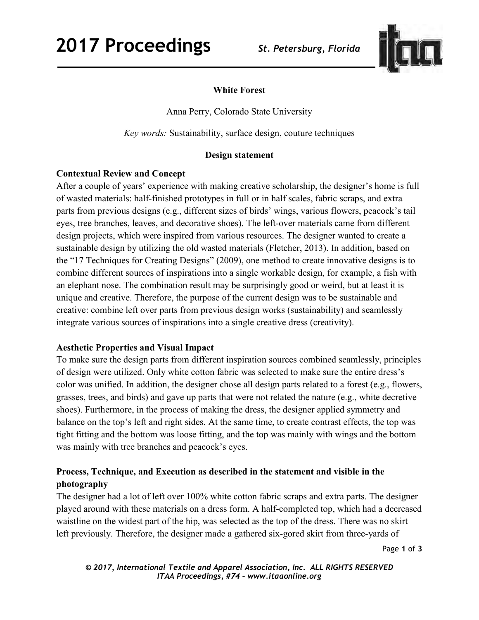

# **White Forest**

Anna Perry, Colorado State University

*Key words:* Sustainability, surface design, couture techniques

# **Design statement**

## **Contextual Review and Concept**

After a couple of years' experience with making creative scholarship, the designer's home is full of wasted materials: half-finished prototypes in full or in half scales, fabric scraps, and extra parts from previous designs (e.g., different sizes of birds' wings, various flowers, peacock's tail eyes, tree branches, leaves, and decorative shoes). The left-over materials came from different design projects, which were inspired from various resources. The designer wanted to create a sustainable design by utilizing the old wasted materials (Fletcher, 2013). In addition, based on the "17 Techniques for Creating Designs" (2009), one method to create innovative designs is to combine different sources of inspirations into a single workable design, for example, a fish with an elephant nose. The combination result may be surprisingly good or weird, but at least it is unique and creative. Therefore, the purpose of the current design was to be sustainable and creative: combine left over parts from previous design works (sustainability) and seamlessly integrate various sources of inspirations into a single creative dress (creativity).

### **Aesthetic Properties and Visual Impact**

To make sure the design parts from different inspiration sources combined seamlessly, principles of design were utilized. Only white cotton fabric was selected to make sure the entire dress's color was unified. In addition, the designer chose all design parts related to a forest (e.g., flowers, grasses, trees, and birds) and gave up parts that were not related the nature (e.g., white decretive shoes). Furthermore, in the process of making the dress, the designer applied symmetry and balance on the top's left and right sides. At the same time, to create contrast effects, the top was tight fitting and the bottom was loose fitting, and the top was mainly with wings and the bottom was mainly with tree branches and peacock's eyes.

# **Process, Technique, and Execution as described in the statement and visible in the photography**

The designer had a lot of left over 100% white cotton fabric scraps and extra parts. The designer played around with these materials on a dress form. A half-completed top, which had a decreased waistline on the widest part of the hip, was selected as the top of the dress. There was no skirt left previously. Therefore, the designer made a gathered six-gored skirt from three-yards of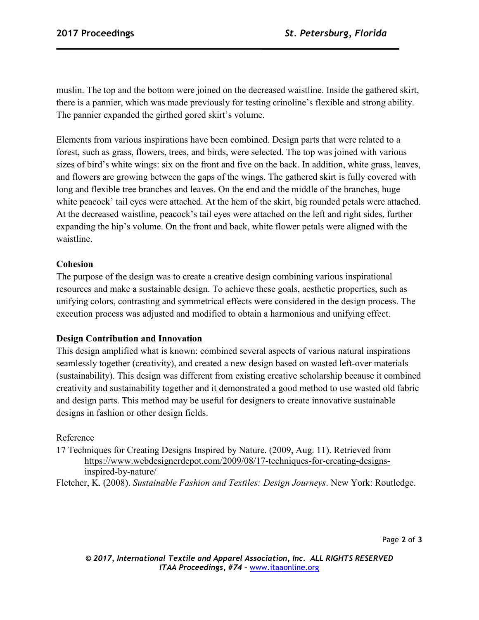muslin. The top and the bottom were joined on the decreased waistline. Inside the gathered skirt, there is a pannier, which was made previously for testing crinoline's flexible and strong ability. The pannier expanded the girthed gored skirt's volume.

Elements from various inspirations have been combined. Design parts that were related to a forest, such as grass, flowers, trees, and birds, were selected. The top was joined with various sizes of bird's white wings: six on the front and five on the back. In addition, white grass, leaves, and flowers are growing between the gaps of the wings. The gathered skirt is fully covered with long and flexible tree branches and leaves. On the end and the middle of the branches, huge white peacock' tail eyes were attached. At the hem of the skirt, big rounded petals were attached. At the decreased waistline, peacock's tail eyes were attached on the left and right sides, further expanding the hip's volume. On the front and back, white flower petals were aligned with the waistline.

## **Cohesion**

The purpose of the design was to create a creative design combining various inspirational resources and make a sustainable design. To achieve these goals, aesthetic properties, such as unifying colors, contrasting and symmetrical effects were considered in the design process. The execution process was adjusted and modified to obtain a harmonious and unifying effect.

### **Design Contribution and Innovation**

This design amplified what is known: combined several aspects of various natural inspirations seamlessly together (creativity), and created a new design based on wasted left-over materials (sustainability). This design was different from existing creative scholarship because it combined creativity and sustainability together and it demonstrated a good method to use wasted old fabric and design parts. This method may be useful for designers to create innovative sustainable designs in fashion or other design fields.

### Reference

17 Techniques for Creating Designs Inspired by Nature. (2009, Aug. 11). Retrieved from https://www.webdesignerdepot.com/2009/08/17-techniques-for-creating-designsinspired-by-nature/

Fletcher, K. (2008). *Sustainable Fashion and Textiles: Design Journeys*. New York: Routledge.

Page **2** of **3** 

*© 2017, International Textile and Apparel Association, Inc. ALL RIGHTS RESERVED ITAA Proceedings, #74 –* www.itaaonline.org